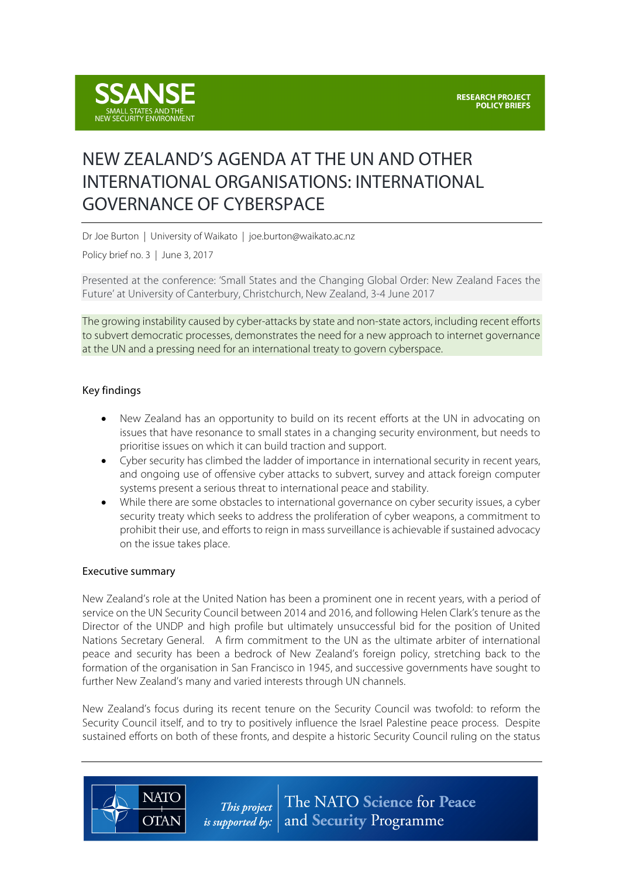

# NEW ZEALAND'S AGENDA AT THE UN AND OTHER INTERNATIONAL ORGANISATIONS: INTERNATIONAL GOVERNANCE OF CYBERSPACE

Dr Joe Burton | University of Waikato | joe.burton@waikato.ac.nz

Policy brief no. 3 | June 3, 2017

Presented at the conference: 'Small States and the Changing Global Order: New Zealand Faces the Future' at University of Canterbury, Christchurch, New Zealand, 3-4 June 2017

The growing instability caused by cyber-attacks by state and non-state actors, including recent efforts to subvert democratic processes, demonstrates the need for a new approach to internet governance at the UN and a pressing need for an international treaty to govern cyberspace.

## Key findings

- New Zealand has an opportunity to build on its recent efforts at the UN in advocating on issues that have resonance to small states in a changing security environment, but needs to prioritise issues on which it can build traction and support.
- Cyber security has climbed the ladder of importance in international security in recent years, and ongoing use of offensive cyber attacks to subvert, survey and attack foreign computer systems present a serious threat to international peace and stability.
- While there are some obstacles to international governance on cyber security issues, a cyber security treaty which seeks to address the proliferation of cyber weapons, a commitment to prohibit their use, and efforts to reign in mass surveillance is achievable if sustained advocacy on the issue takes place.

#### Executive summary

**NATO** 

**OTAN** 

New Zealand's role at the United Nation has been a prominent one in recent years, with a period of service on the UN Security Council between 2014 and 2016, and following Helen Clark's tenure as the Director of the UNDP and high profile but ultimately unsuccessful bid for the position of United Nations Secretary General. A firm commitment to the UN as the ultimate arbiter of international peace and security has been a bedrock of New Zealand's foreign policy, stretching back to the formation of the organisation in San Francisco in 1945, and successive governments have sought to further New Zealand's many and varied interests through UN channels.

New Zealand's focus during its recent tenure on the Security Council was twofold: to reform the Security Council itself, and to try to positively influence the Israel Palestine peace process. Despite sustained efforts on both of these fronts, and despite a historic Security Council ruling on the status

> The NATO Science for Peace This project *is supported by:*  $\vert$  and **Security** Programme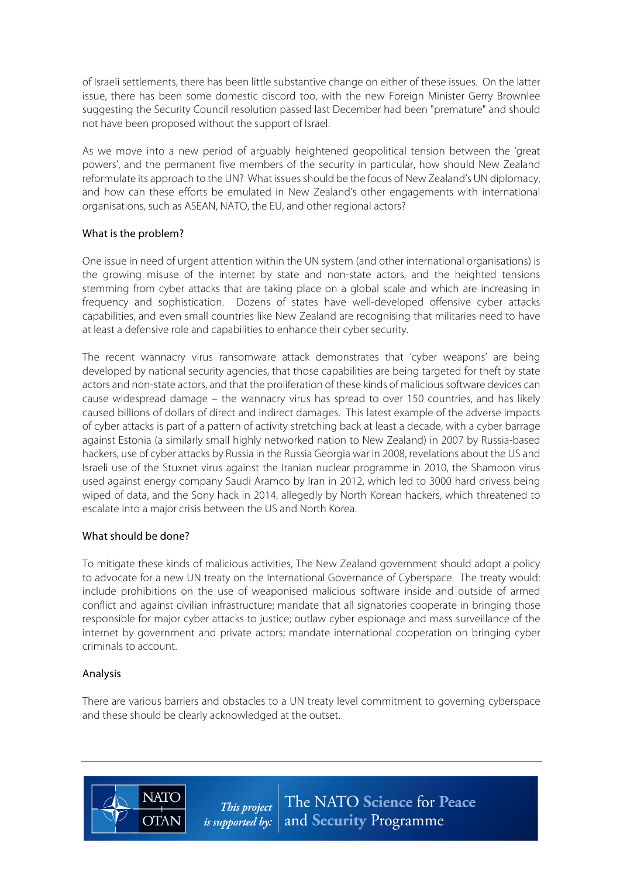of Israeli settlements, there has been little substantive change on either of these issues. On the latter issue, there has been some domestic discord too, with the new Foreign Minister Gerry Brownlee suggesting the Security Council resolution passed last December had been "premature" and should not have been proposed without the support of Israel.

As we move into a new period of arguably heightened geopolitical tension between the 'great powers', and the permanent five members of the security in particular, how should New Zealand reformulate its approach to the UN? What issues should be the focus of New Zealand's UN diplomacy, and how can these efforts be emulated in New Zealand's other engagements with international organisations, such as ASEAN, NATO, the EU, and other regional actors?

## What is the problem?

One issue in need of urgent attention within the UN system (and other international organisations) is the growing misuse of the internet by state and non-state actors, and the heighted tensions stemming from cyber attacks that are taking place on a global scale and which are increasing in frequency and sophistication. Dozens of states have well-developed offensive cyber attacks capabilities, and even small countries like New Zealand are recognising that militaries need to have at least a defensive role and capabilities to enhance their cyber security.

The recent wannacry virus ransomware attack demonstrates that 'cyber weapons' are being developed by national security agencies, that those capabilities are being targeted for theft by state actors and non-state actors, and that the proliferation of these kinds of malicious software devices can cause widespread damage – the wannacry virus has spread to over 150 countries, and has likely caused billions of dollars of direct and indirect damages. This latest example of the adverse impacts of cyber attacks is part of a pattern of activity stretching back at least a decade, with a cyber barrage against Estonia (a similarly small highly networked nation to New Zealand) in 2007 by Russia-based hackers, use of cyber attacks by Russia in the Russia Georgia war in 2008, revelations about the US and Israeli use of the Stuxnet virus against the Iranian nuclear programme in 2010, the Shamoon virus used against energy company Saudi Aramco by Iran in 2012, which led to 3000 hard drivess being wiped of data, and the Sony hack in 2014, allegedly by North Korean hackers, which threatened to escalate into a major crisis between the US and North Korea.

## What should be done?

**NATC** 

**OTAN** 

To mitigate these kinds of malicious activities, The New Zealand government should adopt a policy to advocate for a new UN treaty on the International Governance of Cyberspace. The treaty would: include prohibitions on the use of weaponised malicious software inside and outside of armed conflict and against civilian infrastructure; mandate that all signatories cooperate in bringing those responsible for major cyber attacks to justice; outlaw cyber espionage and mass surveillance of the internet by government and private actors; mandate international cooperation on bringing cyber criminals to account.

## Analysis

There are various barriers and obstacles to a UN treaty level commitment to governing cyberspace and these should be clearly acknowledged at the outset.

> The NATO Science for Peace This project *is supported by:*  $\vert$  and **Security** Programme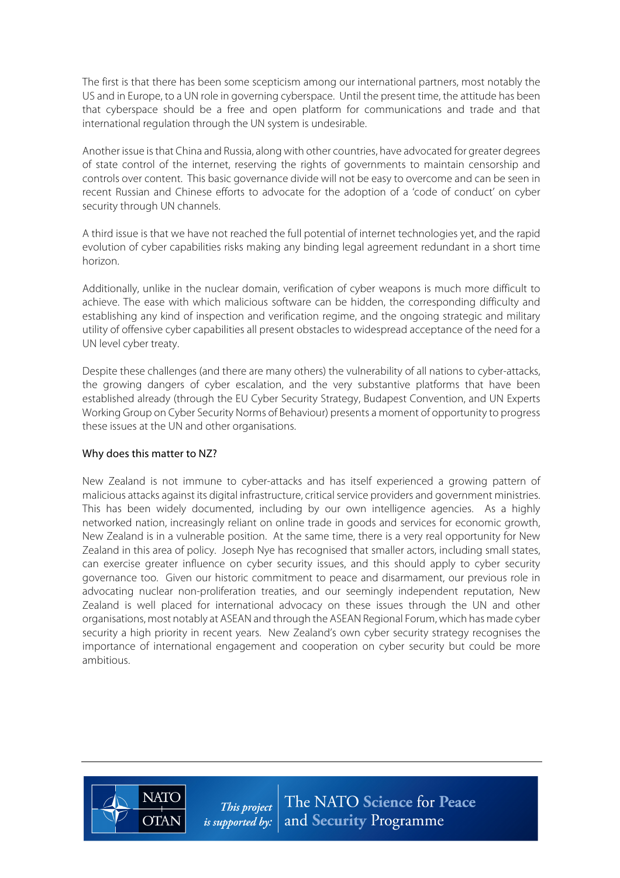The first is that there has been some scepticism among our international partners, most notably the US and in Europe, to a UN role in governing cyberspace. Until the present time, the attitude has been that cyberspace should be a free and open platform for communications and trade and that international regulation through the UN system is undesirable.

Another issue isthat China and Russia, along with other countries, have advocated for greater degrees of state control of the internet, reserving the rights of governments to maintain censorship and controls over content. This basic governance divide will not be easy to overcome and can be seen in recent Russian and Chinese efforts to advocate for the adoption of a 'code of conduct' on cyber security through UN channels.

A third issue is that we have not reached the full potential of internet technologies yet, and the rapid evolution of cyber capabilities risks making any binding legal agreement redundant in a short time horizon.

Additionally, unlike in the nuclear domain, verification of cyber weapons is much more difficult to achieve. The ease with which malicious software can be hidden, the corresponding difficulty and establishing any kind of inspection and verification regime, and the ongoing strategic and military utility of offensive cyber capabilities all present obstacles to widespread acceptance of the need for a UN level cyber treaty.

Despite these challenges (and there are many others) the vulnerability of all nations to cyber-attacks, the growing dangers of cyber escalation, and the very substantive platforms that have been established already (through the EU Cyber Security Strategy, Budapest Convention, and UN Experts Working Group on Cyber Security Norms of Behaviour) presents a moment of opportunity to progress these issues at the UN and other organisations.

## Why does this matter to NZ?

New Zealand is not immune to cyber-attacks and has itself experienced a growing pattern of malicious attacks against its digital infrastructure, critical service providers and government ministries. This has been widely documented, including by our own intelligence agencies. As a highly networked nation, increasingly reliant on online trade in goods and services for economic growth, New Zealand is in a vulnerable position. At the same time, there is a very real opportunity for New Zealand in this area of policy. Joseph Nye has recognised that smaller actors, including small states, can exercise greater influence on cyber security issues, and this should apply to cyber security governance too. Given our historic commitment to peace and disarmament, our previous role in advocating nuclear non-proliferation treaties, and our seemingly independent reputation, New Zealand is well placed for international advocacy on these issues through the UN and other organisations, most notably at ASEAN and through the ASEAN Regional Forum, which has made cyber security a high priority in recent years. New Zealand's own cyber security strategy recognises the importance of international engagement and cooperation on cyber security but could be more ambitious.